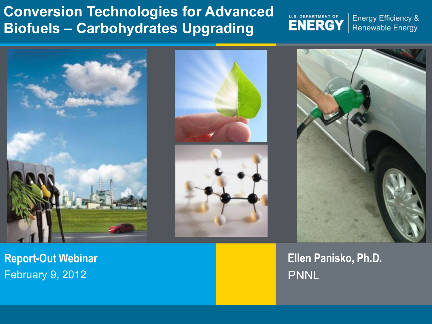## **Conversion Technologies for Advanced Biofuels – Carbohydrates Upgrading**

U.S. DEPARTMENT OF<br>ENERGY

Energy Efficiency & Renewable Energy



**Report-Out Webinar**  February 9, 2012





**Ellen Panisko, Ph.D.**  PNNL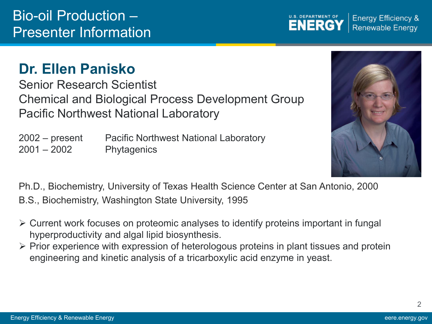## **Dr. Ellen Panisko**

Senior Research Scientist Chemical and Biological Process Development Group Pacific Northwest National Laboratory

2002 – present Pacific Northwest National Laboratory 2001 – 2002 Phytagenics

Ph.D., Biochemistry, University of Texas Health Science Center at San Antonio, 2000

B.S., Biochemistry, Washington State University, 1995

- Current work focuses on proteomic analyses to identify proteins important in fungal hyperproductivity and algal lipid biosynthesis.
- $\triangleright$  Prior experience with expression of heterologous proteins in plant tissues and protein engineering and kinetic analysis of a tricarboxylic acid enzyme in yeast.



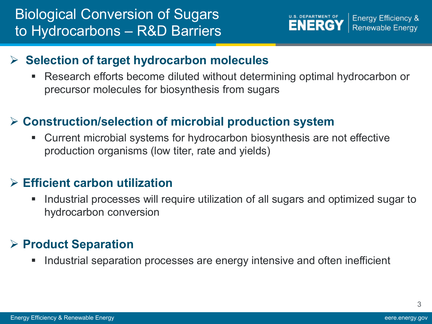

#### **Selection of target hydrocarbon molecules**

 Research efforts become diluted without determining optimal hydrocarbon or precursor molecules for biosynthesis from sugars

#### **Construction/selection of microbial production system**

 Current microbial systems for hydrocarbon biosynthesis are not effective production organisms (low titer, rate and yields)

#### **Efficient carbon utilization**

**Industrial processes will require utilization of all sugars and optimized sugar to** hydrocarbon conversion

## **Product Separation**

Industrial separation processes are energy intensive and often inefficient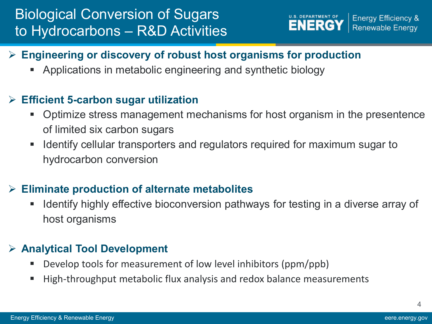## Biological Conversion of Sugars to Hydrocarbons – R&D Activities



#### **Engineering or discovery of robust host organisms for production**

Applications in metabolic engineering and synthetic biology

#### **Efficient 5-carbon sugar utilization**

- Optimize stress management mechanisms for host organism in the presentence of limited six carbon sugars
- I dentify cellular transporters and regulators required for maximum sugar to hydrocarbon conversion

#### **Eliminate production of alternate metabolites**

 Identify highly effective bioconversion pathways for testing in a diverse array of host organisms

#### **Analytical Tool Development**

- Develop tools for measurement of low level inhibitors (ppm/ppb)
- High-throughput metabolic flux analysis and redox balance measurements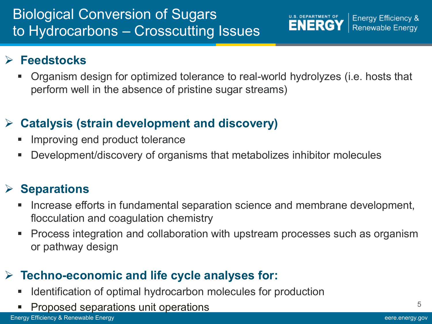## **Feedstocks**

 Organism design for optimized tolerance to real-world hydrolyzes (i.e. hosts that perform well in the absence of pristine sugar streams)

**U.S. DEPARTMENT OF** 

**ENERGY** 

**Energy Efficiency &** 

**Renewable Energy** 

## **Catalysis (strain development and discovery)**

- **Improving end product tolerance**
- Development/discovery of organisms that metabolizes inhibitor molecules

## **Separations**

- Increase efforts in fundamental separation science and membrane development, flocculation and coagulation chemistry
- Process integration and collaboration with upstream processes such as organism or pathway design

## **Techno-economic and life cycle analyses for:**

- Identification of optimal hydrocarbon molecules for production
- Proposed separations unit operations

5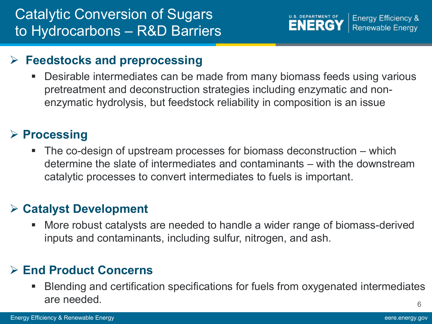

#### **Feedstocks and preprocessing**

 Desirable intermediates can be made from many biomass feeds using various pretreatment and deconstruction strategies including enzymatic and nonenzymatic hydrolysis, but feedstock reliability in composition is an issue

### **Processing**

 The co-design of upstream processes for biomass deconstruction – which determine the slate of intermediates and contaminants – with the downstream catalytic processes to convert intermediates to fuels is important.

### **Catalyst Development**

 More robust catalysts are needed to handle a wider range of biomass-derived inputs and contaminants, including sulfur, nitrogen, and ash.

### **End Product Concerns**

6 Blending and certification specifications for fuels from oxygenated intermediates are needed.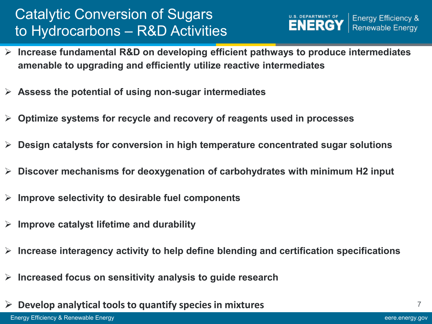## Catalytic Conversion of Sugars to Hydrocarbons – R&D Activities



- **Increase fundamental R&D on developing efficient pathways to produce intermediates amenable to upgrading and efficiently utilize reactive intermediates**
- **Assess the potential of using non-sugar intermediates**
- **Optimize systems for recycle and recovery of reagents used in processes**
- **Design catalysts for conversion in high temperature concentrated sugar solutions**
- **Discover mechanisms for deoxygenation of carbohydrates with minimum H2 input**
- **Improve selectivity to desirable fuel components**
- **Improve catalyst lifetime and durability**
- **Increase interagency activity to help define blending and certification specifications**
- **Increased focus on sensitivity analysis to guide research**
- **Develop analytical tools to quantify species in mixtures**

7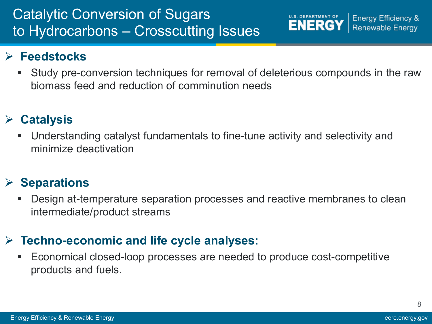## Catalytic Conversion of Sugars to Hydrocarbons – Crosscutting Issues

### **Feedstocks**

 Study pre-conversion techniques for removal of deleterious compounds in the raw biomass feed and reduction of comminution needs

U.S. DEPARTMENT OF

**Energy Efficiency &** Renewable Energy

### **Catalysis**

 Understanding catalyst fundamentals to fine-tune activity and selectivity and minimize deactivation

## **Separations**

 Design at-temperature separation processes and reactive membranes to clean intermediate/product streams

### **Techno-economic and life cycle analyses:**

 Economical closed-loop processes are needed to produce cost-competitive products and fuels.